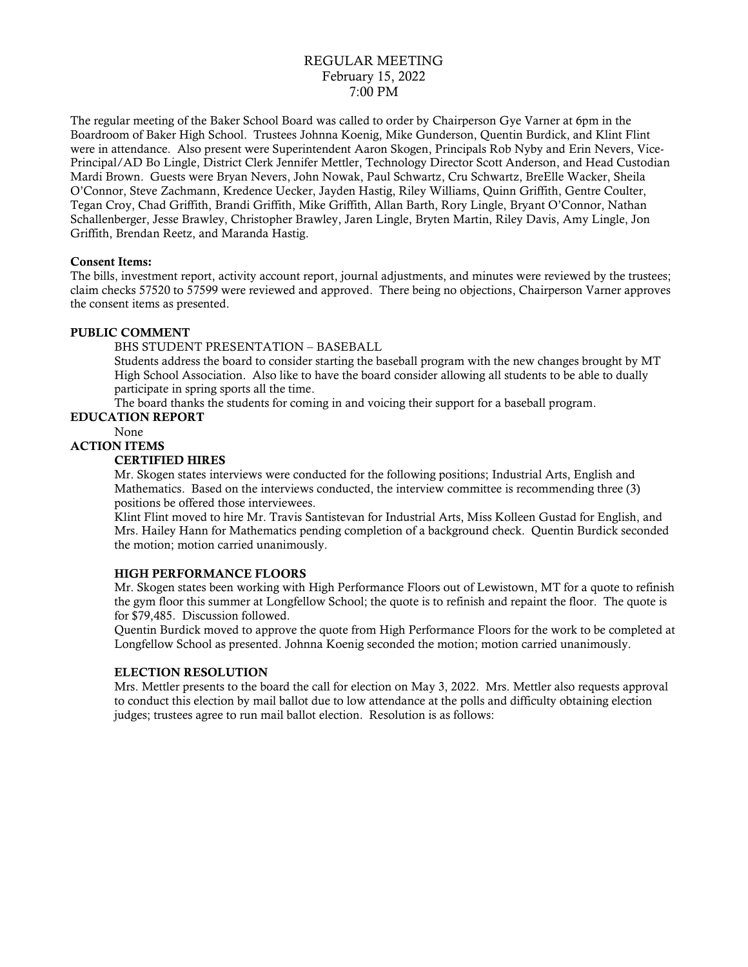# REGULAR MEETING February 15, 2022 7:00 PM

The regular meeting of the Baker School Board was called to order by Chairperson Gye Varner at 6pm in the Boardroom of Baker High School. Trustees Johnna Koenig, Mike Gunderson, Quentin Burdick, and Klint Flint were in attendance. Also present were Superintendent Aaron Skogen, Principals Rob Nyby and Erin Nevers, Vice-Principal/AD Bo Lingle, District Clerk Jennifer Mettler, Technology Director Scott Anderson, and Head Custodian Mardi Brown. Guests were Bryan Nevers, John Nowak, Paul Schwartz, Cru Schwartz, BreElle Wacker, Sheila O'Connor, Steve Zachmann, Kredence Uecker, Jayden Hastig, Riley Williams, Quinn Griffith, Gentre Coulter, Tegan Croy, Chad Griffith, Brandi Griffith, Mike Griffith, Allan Barth, Rory Lingle, Bryant O'Connor, Nathan Schallenberger, Jesse Brawley, Christopher Brawley, Jaren Lingle, Bryten Martin, Riley Davis, Amy Lingle, Jon Griffith, Brendan Reetz, and Maranda Hastig.

# Consent Items:

The bills, investment report, activity account report, journal adjustments, and minutes were reviewed by the trustees; claim checks 57520 to 57599 were reviewed and approved. There being no objections, Chairperson Varner approves the consent items as presented.

### PUBLIC COMMENT

BHS STUDENT PRESENTATION – BASEBALL

Students address the board to consider starting the baseball program with the new changes brought by MT High School Association. Also like to have the board consider allowing all students to be able to dually participate in spring sports all the time.

The board thanks the students for coming in and voicing their support for a baseball program.

# EDUCATION REPORT

None

# ACTION ITEMS

### CERTIFIED HIRES

Mr. Skogen states interviews were conducted for the following positions; Industrial Arts, English and Mathematics. Based on the interviews conducted, the interview committee is recommending three (3) positions be offered those interviewees.

Klint Flint moved to hire Mr. Travis Santistevan for Industrial Arts, Miss Kolleen Gustad for English, and Mrs. Hailey Hann for Mathematics pending completion of a background check. Quentin Burdick seconded the motion; motion carried unanimously.

# HIGH PERFORMANCE FLOORS

Mr. Skogen states been working with High Performance Floors out of Lewistown, MT for a quote to refinish the gym floor this summer at Longfellow School; the quote is to refinish and repaint the floor. The quote is for \$79,485. Discussion followed.

Quentin Burdick moved to approve the quote from High Performance Floors for the work to be completed at Longfellow School as presented. Johnna Koenig seconded the motion; motion carried unanimously.

# ELECTION RESOLUTION

Mrs. Mettler presents to the board the call for election on May 3, 2022. Mrs. Mettler also requests approval to conduct this election by mail ballot due to low attendance at the polls and difficulty obtaining election judges; trustees agree to run mail ballot election. Resolution is as follows: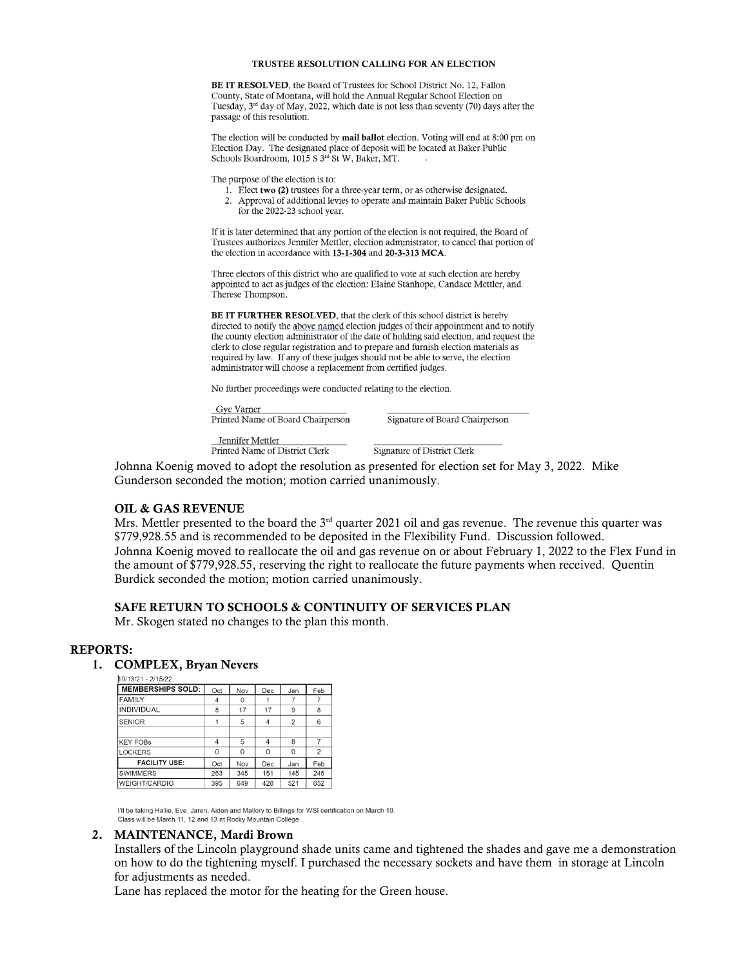#### TRUSTEE RESOLUTION CALLING FOR AN ELECTION

**BE IT RESOLVED.** the Board of Trustees for School District No. 12. Fallon County, State of Montana, will hold the Annual Regular School Election on Tuesday, 3<sup>rd</sup> day of May, 2022, which date is not less than seventy (70) days after the passage of this resolution.

The election will be conducted by mail ballot election. Voting will end at 8:00 pm on Election Day. The designated place of deposit will be located at Baker Public Schools Boardroom, 1015 S 3rd St W, Baker, MT.

The purpose of the election is to:

- 1. Elect two (2) trustees for a three-year term, or as otherwise designated.
- 2. Approval of additional levies to operate and maintain Baker Public Schools for the 2022-23 school year.

If it is later determined that any portion of the election is not required, the Board of Trustees authorizes Jennifer Mettler, election administrator, to cancel that portion of the election in accordance with 13-1-304 and 20-3-313 MCA.

Three electors of this district who are qualified to vote at such election are hereby appointed to act as judges of the election: Elaine Stanhope, Candace Mettler, and Therese Thompson.

BE IT FURTHER RESOLVED, that the clerk of this school district is hereby directed to notify the above named election judges of their appointment and to notify the county election administrator of the date of holding said election, and request the clerk to close regular registration and to prepare and furnish election materials as required by law. If any of these judges should not be able to serve, the election administrator will choose a replacement from certified judges.

No further proceedings were conducted relating to the election.

Gve Varner Printed Name of Board Chairperson

Signature of Board Chairperson

Jennifer Mettler Printed Name of District Clerk

Signature of District Clerk

Johnna Koenig moved to adopt the resolution as presented for election set for May 3, 2022. Mike Gunderson seconded the motion; motion carried unanimously.

#### OIL & GAS REVENUE

Mrs. Mettler presented to the board the  $3<sup>rd</sup>$  quarter 2021 oil and gas revenue. The revenue this quarter was \$779,928.55 and is recommended to be deposited in the Flexibility Fund. Discussion followed. Johnna Koenig moved to reallocate the oil and gas revenue on or about February 1, 2022 to the Flex Fund in the amount of \$779,928.55, reserving the right to reallocate the future payments when received. Quentin Burdick seconded the motion; motion carried unanimously.

# SAFE RETURN TO SCHOOLS & CONTINUITY OF SERVICES PLAN

Mr. Skogen stated no changes to the plan this month.

#### REPORTS:

# 1. **COMPLEX, Bryan Nevers**<br> $h^{0/13/21-2/15/22}$

| MEMBERSHIPS SOLD:    | Oct            | Nov      | Dec            | Jan | Feb            |
|----------------------|----------------|----------|----------------|-----|----------------|
| <b>FAMILY</b>        | $\overline{4}$ | $\Omega$ |                |     |                |
| INDIVIDUAL           | 8              | 17       | 17             | 9   | 8              |
| <b>SENIOR</b>        |                | 5        | $\overline{4}$ | 2   | 6              |
|                      |                |          |                |     |                |
| <b>KEY FOBS</b>      | 4              | 5        | 4              | 8   |                |
| <b>LOCKERS</b>       | O              | $\Omega$ | $\Omega$       | 0   | $\overline{2}$ |
| <b>FACILITY USE:</b> | Oct            | Nov      | Dec            | Jan | Feb            |
| <b>SWIMMERS</b>      | 263            | 345      | 151            | 145 | 245            |
| WEIGHT/CARDIO        | 395            | 649      | 428            | 521 | 652            |

I'll be taking Hallie, Eve, Jaren, Aiden and Mallory to Billings for WSI certification on March 10. Class will be March 11, 12 and 13 at Rocky Mountain College.

#### 2. MAINTENANCE, Mardi Brown

Installers of the Lincoln playground shade units came and tightened the shades and gave me a demonstration on how to do the tightening myself. I purchased the necessary sockets and have them in storage at Lincoln for adjustments as needed.

Lane has replaced the motor for the heating for the Green house.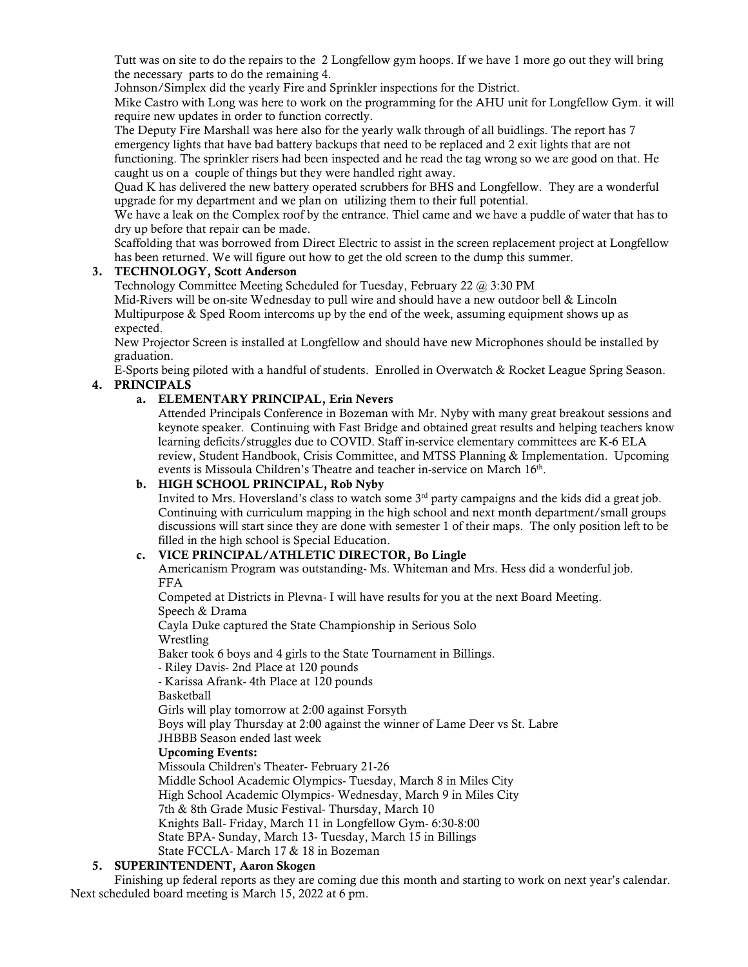Tutt was on site to do the repairs to the 2 Longfellow gym hoops. If we have 1 more go out they will bring the necessary parts to do the remaining 4.

Johnson/Simplex did the yearly Fire and Sprinkler inspections for the District.

Mike Castro with Long was here to work on the programming for the AHU unit for Longfellow Gym. it will require new updates in order to function correctly.

The Deputy Fire Marshall was here also for the yearly walk through of all buidlings. The report has 7 emergency lights that have bad battery backups that need to be replaced and 2 exit lights that are not functioning. The sprinkler risers had been inspected and he read the tag wrong so we are good on that. He caught us on a couple of things but they were handled right away.

Quad K has delivered the new battery operated scrubbers for BHS and Longfellow. They are a wonderful upgrade for my department and we plan on utilizing them to their full potential.

We have a leak on the Complex roof by the entrance. Thiel came and we have a puddle of water that has to dry up before that repair can be made.

Scaffolding that was borrowed from Direct Electric to assist in the screen replacement project at Longfellow has been returned. We will figure out how to get the old screen to the dump this summer.

# 3. TECHNOLOGY, Scott Anderson

Technology Committee Meeting Scheduled for Tuesday, February 22 @ 3:30 PM Mid-Rivers will be on-site Wednesday to pull wire and should have a new outdoor bell & Lincoln Multipurpose & Sped Room intercoms up by the end of the week, assuming equipment shows up as expected.

New Projector Screen is installed at Longfellow and should have new Microphones should be installed by graduation.

E-Sports being piloted with a handful of students. Enrolled in Overwatch & Rocket League Spring Season. 4. PRINCIPALS

# a. ELEMENTARY PRINCIPAL, Erin Nevers

Attended Principals Conference in Bozeman with Mr. Nyby with many great breakout sessions and keynote speaker. Continuing with Fast Bridge and obtained great results and helping teachers know learning deficits/struggles due to COVID. Staff in-service elementary committees are K-6 ELA review, Student Handbook, Crisis Committee, and MTSS Planning & Implementation. Upcoming events is Missoula Children's Theatre and teacher in-service on March 16<sup>th</sup>.

# b. HIGH SCHOOL PRINCIPAL, Rob Nyby

Invited to Mrs. Hoversland's class to watch some 3<sup>rd</sup> party campaigns and the kids did a great job. Continuing with curriculum mapping in the high school and next month department/small groups discussions will start since they are done with semester 1 of their maps. The only position left to be filled in the high school is Special Education.

# c. VICE PRINCIPAL/ATHLETIC DIRECTOR, Bo Lingle

Americanism Program was outstanding- Ms. Whiteman and Mrs. Hess did a wonderful job. FFA

Competed at Districts in Plevna- I will have results for you at the next Board Meeting. Speech & Drama

Cayla Duke captured the State Championship in Serious Solo Wrestling

Baker took 6 boys and 4 girls to the State Tournament in Billings.

- Riley Davis- 2nd Place at 120 pounds

- Karissa Afrank- 4th Place at 120 pounds

Basketball

Girls will play tomorrow at 2:00 against Forsyth

Boys will play Thursday at 2:00 against the winner of Lame Deer vs St. Labre JHBBB Season ended last week

# Upcoming Events:

Missoula Children's Theater- February 21-26 Middle School Academic Olympics- Tuesday, March 8 in Miles City High School Academic Olympics- Wednesday, March 9 in Miles City 7th & 8th Grade Music Festival- Thursday, March 10

Knights Ball- Friday, March 11 in Longfellow Gym- 6:30-8:00

State BPA- Sunday, March 13- Tuesday, March 15 in Billings

State FCCLA- March 17 & 18 in Bozeman

# 5. SUPERINTENDENT, Aaron Skogen

Finishing up federal reports as they are coming due this month and starting to work on next year's calendar. Next scheduled board meeting is March 15, 2022 at 6 pm.